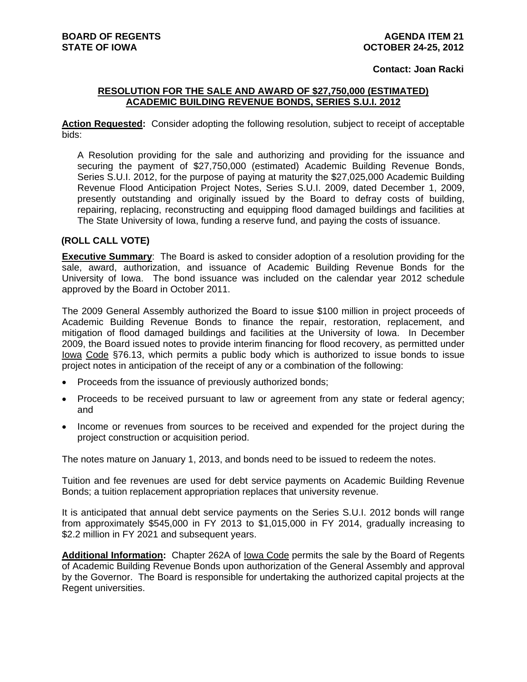## **Contact: Joan Racki**

## **RESOLUTION FOR THE SALE AND AWARD OF \$27,750,000 (ESTIMATED) ACADEMIC BUILDING REVENUE BONDS, SERIES S.U.I. 2012**

**Action Requested:** Consider adopting the following resolution, subject to receipt of acceptable bids:

A Resolution providing for the sale and authorizing and providing for the issuance and securing the payment of \$27,750,000 (estimated) Academic Building Revenue Bonds, Series S.U.I. 2012, for the purpose of paying at maturity the \$27,025,000 Academic Building Revenue Flood Anticipation Project Notes, Series S.U.I. 2009, dated December 1, 2009, presently outstanding and originally issued by the Board to defray costs of building, repairing, replacing, reconstructing and equipping flood damaged buildings and facilities at The State University of Iowa, funding a reserve fund, and paying the costs of issuance.

## **(ROLL CALL VOTE)**

**Executive Summary**: The Board is asked to consider adoption of a resolution providing for the sale, award, authorization, and issuance of Academic Building Revenue Bonds for the University of Iowa. The bond issuance was included on the calendar year 2012 schedule approved by the Board in October 2011.

The 2009 General Assembly authorized the Board to issue \$100 million in project proceeds of Academic Building Revenue Bonds to finance the repair, restoration, replacement, and mitigation of flood damaged buildings and facilities at the University of Iowa. In December 2009, the Board issued notes to provide interim financing for flood recovery, as permitted under Iowa Code §76.13, which permits a public body which is authorized to issue bonds to issue project notes in anticipation of the receipt of any or a combination of the following:

- Proceeds from the issuance of previously authorized bonds;
- Proceeds to be received pursuant to law or agreement from any state or federal agency; and
- Income or revenues from sources to be received and expended for the project during the project construction or acquisition period.

The notes mature on January 1, 2013, and bonds need to be issued to redeem the notes.

Tuition and fee revenues are used for debt service payments on Academic Building Revenue Bonds; a tuition replacement appropriation replaces that university revenue.

It is anticipated that annual debt service payments on the Series S.U.I. 2012 bonds will range from approximately \$545,000 in FY 2013 to \$1,015,000 in FY 2014, gradually increasing to \$2.2 million in FY 2021 and subsequent years.

**Additional Information:** Chapter 262A of Iowa Code permits the sale by the Board of Regents of Academic Building Revenue Bonds upon authorization of the General Assembly and approval by the Governor. The Board is responsible for undertaking the authorized capital projects at the Regent universities.